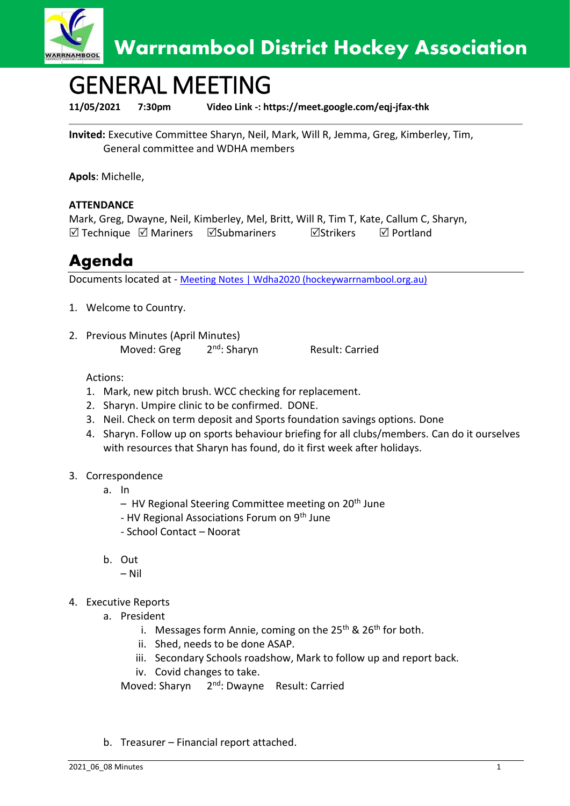

# GENERAL MEETING

**11/05/2021 7:30pm Video Link -: https://meet.google.com/eqj-jfax-thk**

**Invited:** Executive Committee Sharyn, Neil, Mark, Will R, Jemma, Greg, Kimberley, Tim, General committee and WDHA members

**Apols**: Michelle,

### **ATTENDANCE**

Mark, Greg, Dwayne, Neil, Kimberley, Mel, Britt, Will R, Tim T, Kate, Callum C, Sharyn,  $\boxtimes$  Technique  $\boxtimes$  Mariners  $\boxtimes$  Submariners  $\boxtimes$  Strikers  $\boxtimes$  Portland

### **Agenda**

Documents located at - [Meeting Notes | Wdha2020 \(hockeywarrnambool.org.au\)](https://www.hockeywarrnambool.org.au/meeting-notes)

- 1. Welcome to Country.
- 2. Previous Minutes (April Minutes) Moved: Greg 2<sup>nd</sup>: Sharyn

Result: Carried

Actions:

- 1. Mark, new pitch brush. WCC checking for replacement.
- 2. Sharyn. Umpire clinic to be confirmed. DONE.
- 3. Neil. Check on term deposit and Sports foundation savings options. Done
- 4. Sharyn. Follow up on sports behaviour briefing for all clubs/members. Can do it ourselves with resources that Sharyn has found, do it first week after holidays.

#### 3. Correspondence

- a. In
	- HV Regional Steering Committee meeting on 20<sup>th</sup> June
	- HV Regional Associations Forum on 9<sup>th</sup> June
	- School Contact Noorat
- b. Out
	- Nil
- 4. Executive Reports
	- a. President
		- i. Messages form Annie, coming on the  $25<sup>th</sup>$  &  $26<sup>th</sup>$  for both.
		- ii. Shed, needs to be done ASAP.
		- iii. Secondary Schools roadshow, Mark to follow up and report back.
		- iv. Covid changes to take.

Moved: Sharyn 2<sup>nd</sup>: Dwayne Result: Carried

b. Treasurer – Financial report attached.